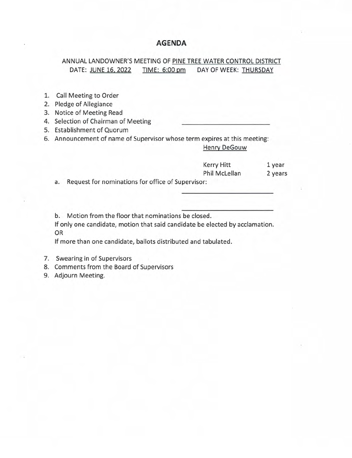### **AGENDA**

### ANNUAL LANDOWNER'S MEETING OF PINE TREE WATER CONTROL DISTRICT DATE: JUNE 16, 2022 TIME: 6:00 pm DAY OF WEEK: THURSDAY

- 1. Call Meeting to Order
- 2. Pledge of Allegiance
- 3. Notice of Meeting Read
- 4. Selection of Chairman of Meeting
- 5. Establishment of Quorum
- 6. Announcement of name of Supervisor whose term expires at this meeting: Henry DeGouw

# Kerry Hitt 1 year Phil McLellan 2 years

a. Request for nominations for office of Supervisor:

b. Motion from the floor that nominations be closed.

If only one candidate, motion that said candidate be elected by acclamation. OR

If more than one candidate, ballots distributed and tabulated.

- 7. Swearing in of Supervisors
- 8. Comments from the Board of Supervisors
- 9. Adjourn Meeting.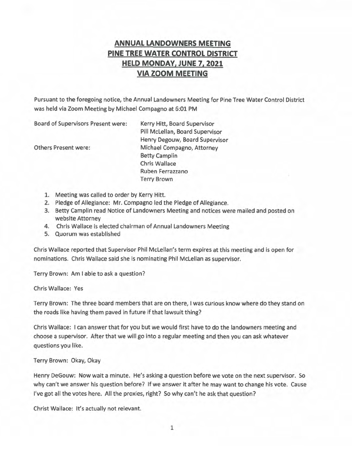## **ANNUAL LANDOWNERS MEETING PINE TREE WATER CONTROL DISTRICT HELD MONDAY, JUNE 7, 2021 VIA ZOOM MEETING**

Pursuant to the foregoing notice, the Annual Landowners Meeting for Pine Tree Water Control District was held via Zoom Meeting by Michael Compagno at 6:01 PM

Board of Supervisors Present were:

Others Present were:

Kerry Hitt, Board Supervisor Pill McLellan, Board Supervisor Henry Degouw, Board Supervisor Michael Compagno, Attorney Betty Camplin Chris Wallace Ruben Ferrazzano Terry Brown

- 1. Meeting was called to order by Kerry Hitt.
- 2. Pledge of Allegiance: Mr. Compagno led the Pledge of Allegiance.
- 3. Betty Camplin read Notice of Landowners Meeting and notices were mailed and posted on website Attorney
- 4. Chris Wallace is elected chairman of Annual Landowners Meeting
- 5. Quorum was established

Chris Wallace reported that Supervisor Phil McLellan's term expires at this meeting and is open for nominations. Chris Wallace said she is nominating Phil McLellan as supervisor.

Terry Brown: Am I able to ask a question?

Chris Wallace: Yes

Terry Brown: The three board members that are on there, I was curious know where do they stand on the roads like having them paved in future if that lawsuit thing?

Chris Wallace: I can answer that for you but we would first have to do the landowners meeting and choose a supervisor. After that we will go into a regular meeting and then you can ask whatever questions you like.

Terry Brown: Okay, Okay

Henry DeGouw: Now wait a minute. He's asking a question before we vote on the next supervisor. So why can't we answer his question before? If we answer it after he may want to change his vote. Cause I've got all the votes here. All the proxies, right? So why can't he ask that question?

Christ Wallace: It's actually not relevant.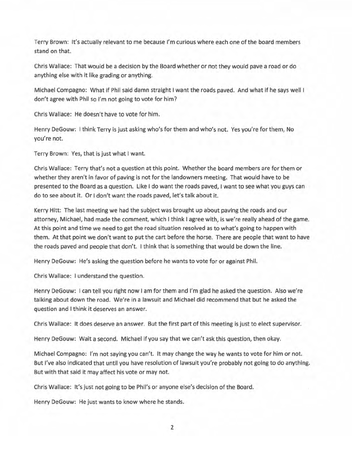Terry Brown: It's actually relevant to me because I'm curious where each one of the board members stand on that.

Chris Wallace: That would be a decision by the Board whether or not they would pave a road or do anything else with it like grading or anything.

Michael Compagno: What if Phil said damn straight I want the roads paved. And what if he says well I don't agree with Phil so I'm not going to vote for him?

Chris Wallace: He doesn't have to vote for him.

Henry DeGouw: I think Terry is just asking who's for them and who's not. Yes you're for them, No you're not.

Terry Brown: Yes, that is just what I want.

Chris Wallace: Terry that's not a question at this point. Whether the board members are for them or whether they aren't in favor of paving is not for the landowners meeting. That would have to be presented to the Board as a question. Like I do want the roads paved, I want to see what you guys can do to see about it. Or I don't want the roads paved, let's talk about it.

Kerry Hitt: The last meeting we had the subject was brought up about paving the roads and our attorney, Michael, had made the comment, which I think I agree with, is we're really ahead of the game. At this point and time we need to get the road situation resolved as to what's going to happen with them. At that point we don't want to put the cart before the horse. There are people that want to have the roads paved and people that don't. I think that is something that would be down the line.

Henry DeGouw: He's asking the question before he wants to vote for or against Phil.

Chris Wallace: I understand the question.

Henry DeGouw: I can tell you right now I am for them and I'm glad he asked the question. Also we're talking about down the road. We're in a lawsuit and Michael did recommend that but he asked the question and I think it deserves an answer.

Chris Wallace: It does deserve an answer. But the first part of this meeting is just to elect supervisor.

Henry DeGouw: Wait a second. Michael if you say that we can't ask this question, then okay.

Michael Compagno: I'm not saying you can't. It may change the way he wants to vote for him or not. But I've also indicated that until you have resolution of lawsuit you're probably not going to do anything. But with that said it may affect his vote or may not.

Chris Wallace: It's just not going to be Phil's or anyone else's decision of the Board.

Henry DeGouw: He just wants to know where he stands.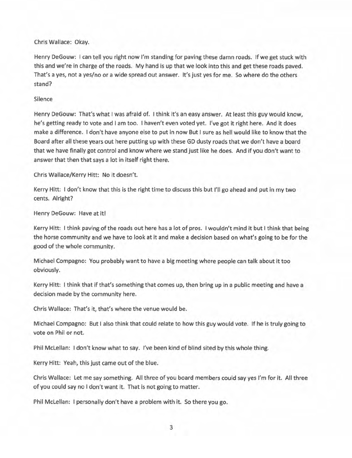Chris Wallace: Okay.

Henry DeGouw: I can tell you right now I'm standing for paving these damn roads. If we get stuck with this and we're in charge of the roads. My hand is up that we look into this and get these roads paved. That's a yes, not a yes/no or a wide spread out answer. It's just yes for me. So where do the others stand?

#### Silence

Henry DeGouw: That's what I was afraid of. I think it's an easy answer. At least this guy would know, he's getting ready to vote and I am too. I haven't even voted yet. I've got it right here. And it does make a difference. I don't have anyone else to put in now But I sure as hell would like to know that the Board after all these years out here putting up with these GD dusty roads that we don't have a board that we have finally got control and know where we stand just like he does. And if you don't want to answer that then that says a lot in itself right there.

Chris Wallace/Kerry Hitt: No it doesn't.

Kerry Hitt: I don't know that this is the right time to discuss this but I'll go ahead and put in my two cents. Alright?

Henry DeGouw: Have at it!

Kerry Hitt: I think paving of the roads out here has a lot of pros. I wouldn't mind it but I think that being the horse community and we have to look at it and make a decision based on what's going to be for the good of the whole community.

Michael Compagno: You probably want to have a big meeting where people can talk about it too obviously.

Kerry Hitt: I think that if that's something that comes up, then bring up in a public meeting and have a decision made by the community here.

Chris Wallace: That's it, that's where the venue would be.

Michael Compagno: But I also think that could relate to how this guy would vote. If he is truly going to vote on Phil or not.

Phil McLellan: I don't know what to say. I've been kind of blind sited by this whole thing.

Kerry Hitt: Yeah, this just came out of the blue.

Chris Wallace: Let me say something. All three of you board members could say yes I'm for it. All three of you could say no I don't want it. That is not going to matter.

Phil McLellan: I personally don't have a problem with it. So there you go.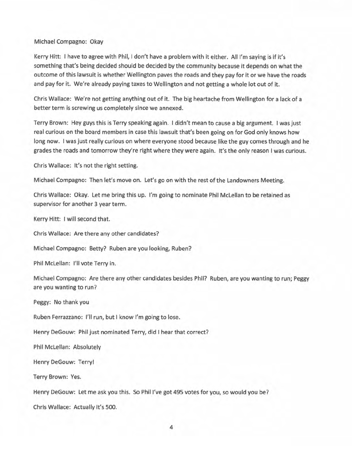#### Michael Compagno: Okay

Kerry Hitt: I have to agree with Phil, I don't have a problem with it either. All I'm saying is if it's something that's being decided should be decided by the community because it depends on what the outcome of this lawsuit is whether Wellington paves the roads and they pay for it or we have the roads and pay for it. We're already paying taxes to Wellington and not getting a whole lot out of it.

Chris Wallace: We're not getting anything out of it. The big heartache from Wellington for a lack of a better term is screwing us completely since we annexed.

Terry Brown: Hey guys this is Terry speaking again. I didn't mean to cause a big argument. I was just real curious on the board members in case this lawsuit that's been going on for God only knows how long now. I was just really curious on where everyone stood because like the guy comes through and he grades the roads and tomorrow they're right where they were again. It's the only reason I was curious.

Chris Wallace: It's not the right setting.

Michael Compagno: Then let's move on. Let's go on with the rest of the Landowners Meeting.

Chris Wallace: Okay. Let me bring this up. I'm going to nominate Phil McLellan to be retained as supervisor for another 3 year term.

Kerry Hitt: I will second that.

Chris Wallace: Are there any other candidates?

Michael Compagno: Betty? Ruben are you looking, Ruben?

Phil McLellan: I'll vote Terry in.

Michael Compagno: Are there any other candidates besides Phil? Ruben, are you wanting to run; Peggy are you wanting to run?

Peggy: No thank you

Ruben Ferrazzano: I'll run, but I know I'm going to lose.

Henry DeGouw: Phil just nominated Terry, did I hear that correct?

Phil McLellan: Absolutely

Henry DeGouw: Terry!

Terry Brown: Yes.

Henry DeGouw: Let me ask you this. So Phil I've got 495 votes for you, so would you be?

Chris Wallace: Actually it's SOO.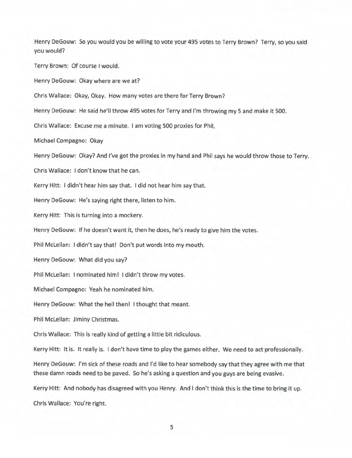Henry DeGouw: So you would you be willing to vote your 495 votes to Terry Brown? Terry, so you said you would? Terry Brown: Of course I would. Henry DeGouw: Okay where are we at? Chris Wallace: Okay, Okay. How many votes are there for Terry Brown? Henry DeGouw: He said he'll throw 495 votes for Terry and I'm throwing my 5 and make it 500. Chris Wallace: Excuse me a minute. I am voting 500 proxies for Phil. Michael Compagno: Okay Henry DeGouw: Okay? And I've got the proxies in my hand and Phil says he would throw those to Terry. Chris Wallace: I don't know that he can. Kerry Hitt: I didn't hear him say that. I did not hear him say that. Henry DeGouw: He's saying right there, listen to him. Kerry Hitt: This is turning into a mockery. Henry DeGouw: If he doesn't want it, then he does, he's ready to give him the votes. Phil McLellan: I didn't say that! Don't put words into my mouth. Henry DeGouw: What did you say? Phil McLellan: I nominated him! I didn't throw my votes. Michael Compagno: Yeah he nominated him. Henry DeGouw: What the hell then! I thought that meant. Phil McLellan: Jiminy Christmas. Chris Wallace: This is really kind of getting a little bit ridiculous. Kerry Hitt: It is. It really is. I don't have time to play the games either. We need to act professionally. Henry DeGouw: I'm sick of these roads and I'd like to hear somebody say that they agree with me that these damn roads need to be paved. So he's asking a question and you guys are being evasive. Kerry Hitt: And nobody has disagreed with you Henry. And I don't think this is the time to bring it up. Chris Wallace: You're right.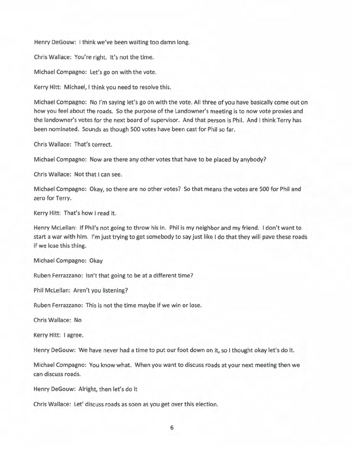Henry DeGouw: I think we've been waiting too damn long.

Chris Wallace: You're right. It's not the time.

Michael Compagno: Let's go on with the vote.

Kerry Hitt: Michael, I think you need to resolve this.

Michael Compagno: No I'm saying let's go on with the vote. All three of you have basically come out on how you feel about the roads. So the purpose of the Landowner's meeting is to now vote proxies and the landowner's votes for the next board of supervisor. And that person is Phil. And I think Terry has been nominated. Sounds as though 500 votes have been cast for Phil so far.

Chris Wallace: That's correct.

Michael Compagno: Now are there any other votes that have to be placed by anybody?

Chris Wallace: Not that I can see.

Michael Compagno: Okay, so there are no other votes? So that means the votes are 500 for Phil and zero for Terry.

Kerry Hitt: That's how I read it.

Henry McLellan: If Phil's not going to throw his in. Phil is my neighbor and my friend. I don't want to start a war with him. I'm just trying to get somebody to say just like I do that they will pave these roads if we lose this thing.

Michael Compagno: Okay

Ruben Ferrazzano: Isn't that going to be at a different time?

Phil McLellan: Aren't you listening?

Ruben Ferrazzano: This is not the time maybe if we win or lose.

Chris Wallace: No

Kerry Hitt: I agree.

Henry DeGouw: We have never had a time to put our foot down on it, so I thought okay let's do it.

Michael Compagno: You know what. When you want to discuss roads at your next meeting then we can discuss roads.

Henry DeGouw: Alright, then let's do it

Chris Wallace: Let' discuss roads as soon as you get over this election.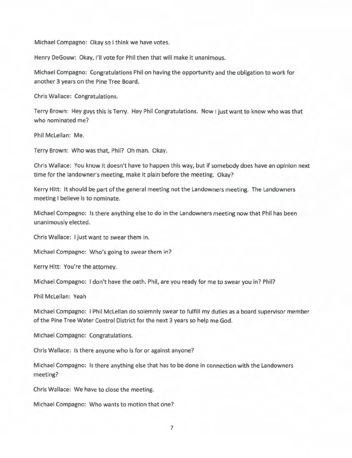Michael Compagno: Okay so I think we have votes.

Henry DeGouw: Okay, I'll vote for Phil then that will make it unanimous.

Michael Compagno: Congratulations Phil on having the opportunity and the obligation to work for another 3 years on the Pine Tree Board.

Chris Wallace: Congratulations.

Terry Brown: Hey guys this is Terry. Hey Phil Congratulations. Now I just want to know who was that who nominated me?

Phil McLellan: Me.

Terry Brown: Who was that, Phil? Oh man. Okay.

Chris Wallace: You know it doesn't have to happen this way, but if somebody does have an opinion next time for the landowner's meeting, make it plain before the meeting. Okay?

Kerry Hitt: It should be part of the general meeting not the Landowners meeting. The Landowners meeting I believe is to nominate.

Michael Compagno: Is there anything else to do in the Landowners meeting now that Phil has been unanimously elected.

Chris Wallace: I just want to swear them in.

Michael Compagno: Who's going to swear them in?

Kerry Hitt: You're the attorney.

Michael Compagno: I don't have the oath. Phil, are you ready for me to swear you in? Phil?

Phil McLellan: Yeah

Michael Compagno: I Phil McLellan do solemnly swear to fulfill my duties as a board supervisor member of the Pine Tree Water Control District for the next 3 years so help me God.

Michael Compagno: Congratulations.

Chris Wallace: Is there anyone who is for or against anyone?

Michael Compagno: Is there anything else that has to be done in connection with the Landowners meeting?

Chris Wallace: We have to close the meeting.

Michael Compagno: Who wants to motion that one?